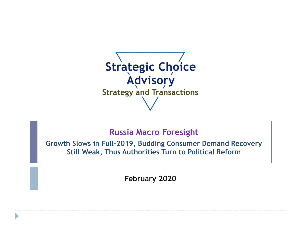

## **Russia Macro Foresight**

**Growth Slows in Full-2019, Budding Consumer Demand Recovery Still Weak, Thus Authorities Turn to Political Reform**

**February 2020**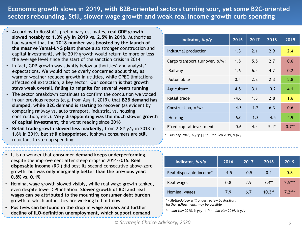**Economic growth slows in 2019, with B2B-oriented sectors turning sour, yet some B2C-oriented sectors rebounding. Still, slower wage growth and weak real income growth curb spending**

- According to RosStat's preliminary estimates, **real GDP growth slowed notably to 1.3% y/y in 2019 vs. 2.5% in 2018.** Authorities had warned that the **2018 number was boosted by the launch of the massive Yamal-LNG plant** (hence also stronger construction and capital investment), while 2019 growth would return to more or less the average level since the start of the sanction crisis in 2014
- In fact, GDP growth was slightly below authorities' and analysts' expectations. We would not be overly concerned about that, as warmer weather reduced growth in utilities, while OPEC limitations affected oil extraction, a key sector. **Our concern is that growth stays weak overall, failing to reignite for several years running**
- The sector breakdown continues to confirm the conclusion we voiced in our previous reports (e.g. from Aug 1, 2019), that **B2B demand has slumped, while B2C demand is starting to recover** (as evident by comparing railway vs. auto transport, industrial vs. housing construction, etc.). **Very disappointing was the much slower growth of capital investment,** the worst reading since 2016
- **Retail trade growth slowed less markedly,** from 2.8% y/y in 2018 to 1.6% in 2019, **but still disappointed.** It shows consumers are still reluctant to step up spending
- It is no wonder that **consumer demand keeps underperforming**, despite the improvement after steep drops in 2014-2016. **Real disposable income** (RDI) did post its second consecutive above-zero growth, but **was only marginally better than the previous year: 0.8% vs. 0.1%**
- Nominal wage growth slowed visibly, while real wage growth tanked, even despite lower CPI inflation. **Slower growth of RDI and real wages can be attributed to the mounting consumer debt burden**, growth of which authorities are working to limit now
- **Positives can be found in the drop in wage arrears and further decline of ILO-definition unemployment, which support demand**

| Indicator, % y/y               | 2016   | 2017   | 2018   | 2019    |
|--------------------------------|--------|--------|--------|---------|
| Industrial production          | 1.3    | 2.1    | 2.9    | 2.4     |
| Cargo transport turnover, o/w: | 1.8    | 5.5    | 2.7    | 0.6     |
| Railway                        | 1.6    | 6.4    | 4.2    | 0.2     |
| Automobile                     | 0.4    | 2.3    | 2.3    | 5.8     |
| Agriculture                    | 4.8    | 3.1    | $-0.2$ | 4.1     |
| Retail trade                   | $-4.6$ | 1.3    | 2.8    | 1.6     |
| Construction, o/w:             | $-4.3$ | $-1.2$ | 6.3    | 0.6     |
| Housing                        | $-6.0$ | $-1.3$ | $-4.5$ | 4.9     |
| Fixed capital investment       | $-0.6$ | 4.4    | $5.1*$ | $0.7**$ |

*\* - Jan-Sep 2018, % y/y || \*\* - Jan-Sep 2019, % y/y*

| Indicator, % y/y        | 2016   | 2017   | 2018     | 2019     |
|-------------------------|--------|--------|----------|----------|
| Real disposable income* | $-4.5$ | $-0.5$ | 0.1      | 0.8      |
| Real wages              | 0.8    | 2.9    | $7.4**$  | $2.5***$ |
| Nominal wages           | 7.9    | 6.7    | $10.3**$ | 7.7***   |

*\* - Methodology still under review by RosStat; further adjustments may be possible*

*\*\* - Jan-Nov 2018, % y/y || \*\*\* - Jan-Nov 2019, % y/y*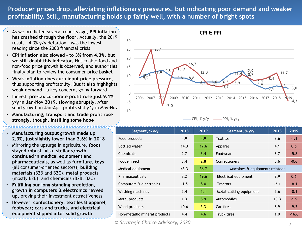**Producer prices drop, alleviating inflationary pressures, but indicating poor demand and weaker profitability. Still, manufacturing holds up fairly well, with a number of bright spots**

- As we predicted several reports ago, **PPI inflation has crashed through the floor.** Actually, the 2019 result - 4.3% y/y deflation - was the lowest reading since the 2008 financial crisis
- **CPI inflation also slowed – to 3% from 4.3%, but we still doubt this indicator.** Noticeable food and non-food price growth is observed, and authorities finally plan to review the consumer price basket
- **Weak inflation does curb input price pressure,**  thus supporting profitability. **But it also highlights weak demand** - a key concern, going forward
- Indeed, **pre-tax corporate profit rose just 9.1% y/y in Jan-Nov 2019, slowing abruptly.** After solid growth in Jan-Apr, profits slid y/y in May-Nov
- **Manufacturing, transport and trade profit rose strongly, though, instilling some hope**
- **Manufacturing output growth made up 2.3%, just slightly lower than 2.6% in 2018**
- Mirroring the upsurge in agriculture, **foods stayed robust**. Also, **stellar growth continued in medical equipment and pharmaceuticals**, as well as **furniture, toys**  (all consumer-oriented sectors); **building materials** (B2B and B2C), **metal products** (mostly B2B), and **chemicals** (B2B, B2C)
- **Fulfilling our long-standing prediction, growth in computers & electronics revved up,** proving their investment attractiveness
- However, **confectionery, textiles & apparel; footwear; cars and trucks, and electrical equipment slipped after solid growth**



| $-CPI, % y/y$ |  |  | $-$ PPI, % y/y |
|---------------|--|--|----------------|
|---------------|--|--|----------------|

| Segment, % y/y                | 2018   | 2019 | Segment, % y/y                 | 2018   | 2019    |
|-------------------------------|--------|------|--------------------------------|--------|---------|
| Food products                 | 4.9    | 4.9  | <b>Textiles</b>                | 3.6    | $-1.1$  |
| <b>Bottled water</b>          | 14.3   | 17.6 | Apparel                        | 4.1    | 0.6     |
| Chemicals                     | 2.7    | 3.4  | Footwear                       | 3.7    | $-5.8$  |
| Fodder feed                   | 3.4    | 2.8  | Confectionery                  | 5.6    | $-0.6$  |
| Medical equipment             | 43.3   | 36.7 | Machines & equipment; related: |        |         |
| Pharmaceuticals               | 8.2    | 19.6 | Electrical equipment           | 2.9    | 0.6     |
| Computers & electronics       | $-1.5$ | 8.0  | <b>Tractors</b>                | $-2.1$ | $-8.1$  |
| Washing machines              | 2.4    | 5.1  | Metal-cutting equipment        | 2.6    | $-0.1$  |
| Metal products                | 1.3    | 8.9  | Automobiles                    | 13.3   | $-1.9$  |
| Wood products                 | 10.6   | 5.3  | Car tires                      | 6.9    | $-9.3$  |
| Non-metallic mineral products | 4.4    | 4.6  | Truck tires                    | 1.9    | $-16.6$ |

*© Strategic Choice Advisory, 2020 3*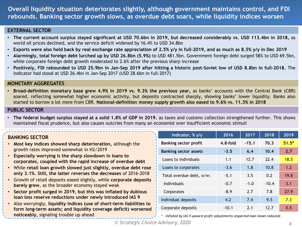**Overall liquidity situation deteriorates slightly, although government maintains control, and FDI rebounds. Banking sector growth slows, as overdue debt soars, while liquidity indices worsen**

#### **EXTERNAL SECTOR**

- The current account surplus stayed significant at USD 70.6bn in 2019, but decreased considerably vs. USD 113.4bn in 2018, as world oil prices declined, and the service deficit widened by 16.4% to USD 34.8bn
- Exports were also held back by real exchange rate appreciation of 2.5%  $y/y$  in full-2019, and as much as 8.5%  $y/y$  in Dec 2019
- **Alarmingly, total foreign debt lurched up by USD 26.8bn (5.9%)** to USD 481.5bn. Government foreign debt surged 58% to USD 69.5bn, while corporate foreign debt growth moderated to 2.6% after the previous sharp increase
- Positively, FDI rebounded to USD 25.9bn in Jan-Sep 2019 after hitting a historic post-Soviet low of USD 8.8bn in full-2018. The indicator had stood at USD 26.4bn in Jan-Sep 2017 (USD 28.6bn in full-2017)

#### **MONETARY AGGREGATES**

• **Broad-definition monetary base grew 4.9% in 2019 vs. 9.3% the previous year,** as banks' accounts with the Central Bank (CBR) soared, reflecting somewhat higher economic activity, but deposits contracted sharply, showing banks' lower liquidity. Banks also started to borrow a lot more from CBR. **National-definition money supply growth also eased to 9.6% vs. 11.3% in 2018**

#### **PUBLIC SECTOR**

• **The federal budget surplus stayed at a solid 1.8% of GDP in 2019**, as taxes and customs collection strengthened further. This shows maintained fiscal prudence, but also causes outcries from many an economist over insufficient economic stimuli

### **BANKING SECTOR**

- **Most key indices showed sharp deterioration,** although the growth rates improved somewhat in H2/2019
- **Especially worrying is the sharp slowdown in loans to corporates, coupled with the rapid increase of overdue debt**
- While **retail loan growth slowed just slightly, overdue debt rose only 3.1%. Still, the latter reverses the decreases** of 2016-2018
- Growth of retail deposits eased slightly, while **corporate deposits barely grew**, as the broader economy stayed weak
- **Sector profit surged in 2019, but this was inflated by dubious loan loss reserve reductions under newly introduced IAS 9**
- Also worryingly, **liquidity indices (use of short-term liabilities to form long-term assets; and liquidity coverage deficit) worsened noticeably,** signaling trouble up ahead

| Indicator, % y/y             | 2016       | 2017    | 2018    | 2019    |
|------------------------------|------------|---------|---------|---------|
| <b>Banking sector profit</b> | $4.8-fold$ | $-15.1$ | 70.3    | $51.5*$ |
| <b>Banking sector assets</b> | $-3.5$     | 6.4     | 10.4    | 2.7     |
| Loans to individuals         | 1.1        | 12.7    | 22.4    | 18.5    |
| Loans to corporates          | $-3.6$     | 1.8     | 10.8    | 1.2     |
| Total overdue debt, o/w:     | $-5.1$     | 3.5     | 0.2     | 19.8    |
| Individuals                  | $-0.7$     | $-1.0$  | $-10.4$ | 3.1     |
| Corporates                   | $-8.9$     | 7.7     | 7.8     | 27.9    |
| Individual deposits          | 4.2        | 7.4     | 9.5     | 7.3     |
| Corporate deposits           | $-10.1$    | 2.1     | 12.7    | 0.5     |
|                              |            |         |         |         |

*\* - Inflated by IAS 9 upward profit adjustments (expected loan losses reduced)*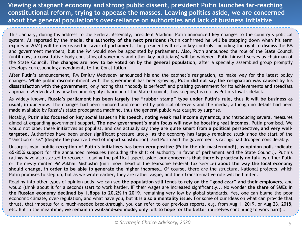**Viewing a stagnant economy and strong public dissent, president Putin launches far-reaching constitutional reform, trying to appease the masses. Leaving politics aside, we are concerned about the general population's over-reliance on authorities and lack of business initiative**

This January, during his address to the Federal Assembly, president Vladimir Putin announced key changes to the country's political system. As reported by the media, **the authority of the next president** (Putin confirmed he will be stepping down when his term expires in 2024) **will be decreased in favor of parliament.** The president will retain key controls, including the right to dismiss the PM and government members, but the PM would now be appointed by parliament. Also, Putin announced the role of the State Council (until now, a consultative body consisting of governors and other key politicians) will be widened. Putin himself serves as chairman of the State Council. **The changes are now to be voted on by the general population,** after a specially assembled group promptly develops corresponding amendments to the Constitution.

After Putin's announcement, PM Dmitry Medvedev announced his and the cabinet's resignation, to make way for the latest policy changes. While public discontentment with the government has been growing, **Putin did not say the resignation was caused by his dissatisfaction with the government**, only noting that "nobody is perfect" and praising government for its achievements and steadfast approach. Medvedev has now become deputy chairman of the State Council, thus keeping his role as Putin's loyal sidekick.

As widely known, Russia's parliament has been largely the "rubber stamp" type under Putin's rule, thus it will be business as **usual, in our view.** The changes had been rumored and reported by political observers and the media, although no details had been made available by Russia's state propaganda machine, thus the general public was caught by surprise.

Notably, Putin also focused on key social issues in his speech, noting weak real income dynamics, and introducing several measures aimed at expanding government support. **The new government's main focus will now be boosting real incomes**, Putin promised. We would not label these initiatives as populist, and can actually say **they are quite smart from a political perspective, and very welltargeted.** Authorities have been under significant pressure lately, as the economy has largely remained stuck since the start of the "sanction crisis" (despite the positive trend of import substitution), and Putin and the government's ratings had dropped considerably.

Unsurprisingly, public reception of Putin's initiatives has been very positive (Putin the old mastermind!), as opinion polls indicate **65-85% support** for the announced measures (including the shift of authority in favor of parliament and the State Council). Putin's ratings have also started to recover. Leaving the political aspect aside, **our concern is that there is practically no talk** by either Putin or the newly minted PM Mikhail Mishustin (until now, head of the fearsome Federal Tax Service) **about the way the local economy should change, in order to be able to generate the higher incomes…** Of course, there are the structural National projects, which Putin promises to step up, but as we wrote earlier, they are rather vague, and their transformative role will be limited.

Reading into other types of opinion polls, we can see **the population still tends to rely on the "good czar" and their employers,** and would (think about it for a second) start to work harder, IF their wages are increased significantly... No wonder **the share of SMEs in the Russian economy declined by 1.8pps to 20.2% in 2019**, remaining very low by global standards. Yes, one can blame the poor economic climate, over-regulation, and what have you, but **it is also a mentality issue.** For some of our ideas on what can provide that thrust, that impetus for a much-needed breakthrough, you can refer to our previous reports, e.g. from Aug 1, 2019, or Aug 23, 2018, etc. But in the meantime, **we remain in wait-and-see mode, only left to hope for the better** (ourselves continuing to work hard)…